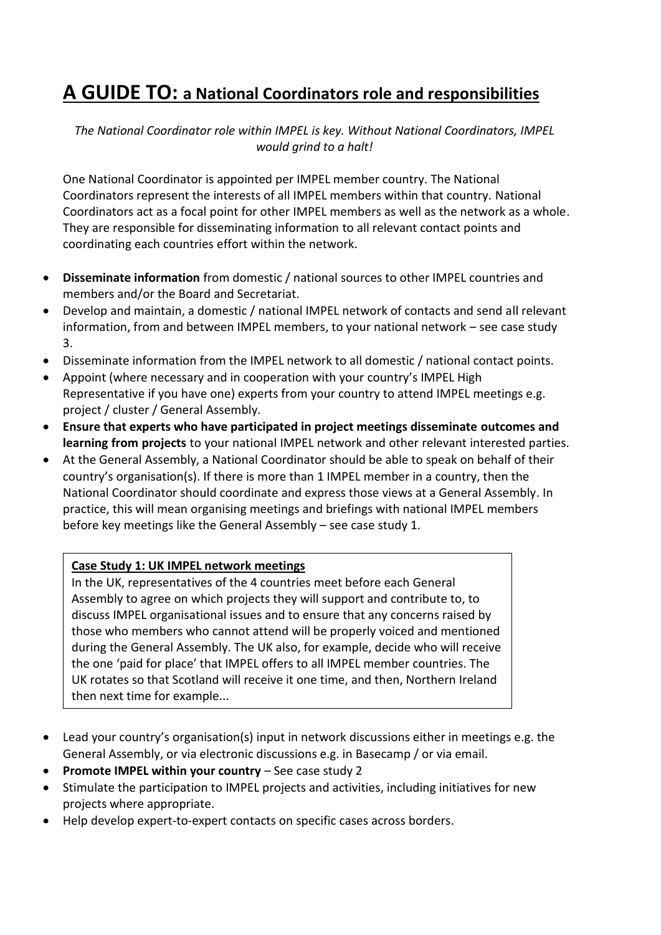## **A GUIDE TO: a National Coordinators role and responsibilities**

*The National Coordinator role within IMPEL is key. Without National Coordinators, IMPEL would grind to a halt!*

One National Coordinator is appointed per IMPEL member country. The National Coordinators represent the interests of all IMPEL members within that country. National Coordinators act as a focal point for other IMPEL members as well as the network as a whole. They are responsible for disseminating information to all relevant contact points and coordinating each countries effort within the network.

- **Disseminate information** from domestic / national sources to other IMPEL countries and members and/or the Board and Secretariat.
- Develop and maintain, a domestic / national IMPEL network of contacts and send all relevant information, from and between IMPEL members, to your national network – see case study 3.
- Disseminate information from the IMPEL network to all domestic / national contact points.
- Appoint (where necessary and in cooperation with your country's IMPEL High Representative if you have one) experts from your country to attend IMPEL meetings e.g. project / cluster / General Assembly.
- **Ensure that experts who have participated in project meetings disseminate outcomes and learning from projects** to your national IMPEL network and other relevant interested parties.
- At the General Assembly, a National Coordinator should be able to speak on behalf of their country's organisation(s). If there is more than 1 IMPEL member in a country, then the National Coordinator should coordinate and express those views at a General Assembly. In practice, this will mean organising meetings and briefings with national IMPEL members before key meetings like the General Assembly – see case study 1.

## **Case Study 1: UK IMPEL network meetings**

In the UK, representatives of the 4 countries meet before each General Assembly to agree on which projects they will support and contribute to, to discuss IMPEL organisational issues and to ensure that any concerns raised by those who members who cannot attend will be properly voiced and mentioned during the General Assembly. The UK also, for example, decide who will receive the one 'paid for place' that IMPEL offers to all IMPEL member countries. The UK rotates so that Scotland will receive it one time, and then, Northern Ireland then next time for example...

- Lead your country's organisation(s) input in network discussions either in meetings e.g. the General Assembly, or via electronic discussions e.g. in Basecamp / or via email.
- **Promote IMPEL within your country** See case study 2
- Stimulate the participation to IMPEL projects and activities, including initiatives for new projects where appropriate.
- Help develop expert-to-expert contacts on specific cases across borders.